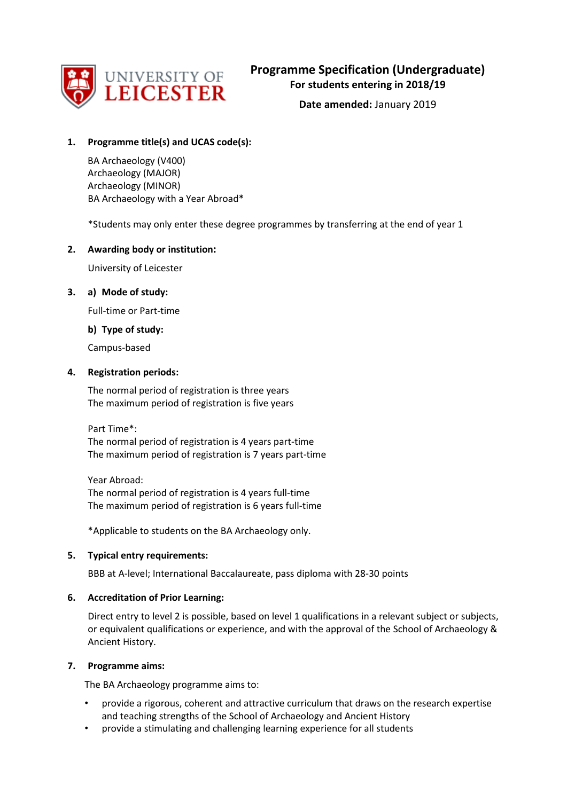

**Date amended:** January 2019

# **1. Programme title(s) and UCAS code(s):**

BA Archaeology (V400) Archaeology (MAJOR) Archaeology (MINOR) BA Archaeology with a Year Abroad\*

\*Students may only enter these degree programmes by transferring at the end of year 1

# **2. Awarding body or institution:**

University of Leicester

# **3. a) Mode of study:**

Full-time or Part-time

**b) Type of study:**

Campus-based

# **4. Registration periods:**

The normal period of registration is three years The maximum period of registration is five years

Part Time\*: The normal period of registration is 4 years part-time The maximum period of registration is 7 years part-time

Year Abroad: The normal period of registration is 4 years full-time The maximum period of registration is 6 years full-time

\*Applicable to students on the BA Archaeology only.

# **5. Typical entry requirements:**

BBB at A-level; International Baccalaureate, pass diploma with 28-30 points

#### **6. Accreditation of Prior Learning:**

Direct entry to level 2 is possible, based on level 1 qualifications in a relevant subject or subjects, or equivalent qualifications or experience, and with the approval of the School of Archaeology & Ancient History.

#### **7. Programme aims:**

The BA Archaeology programme aims to:

- provide a rigorous, coherent and attractive curriculum that draws on the research expertise and teaching strengths of the School of Archaeology and Ancient History
- provide a stimulating and challenging learning experience for all students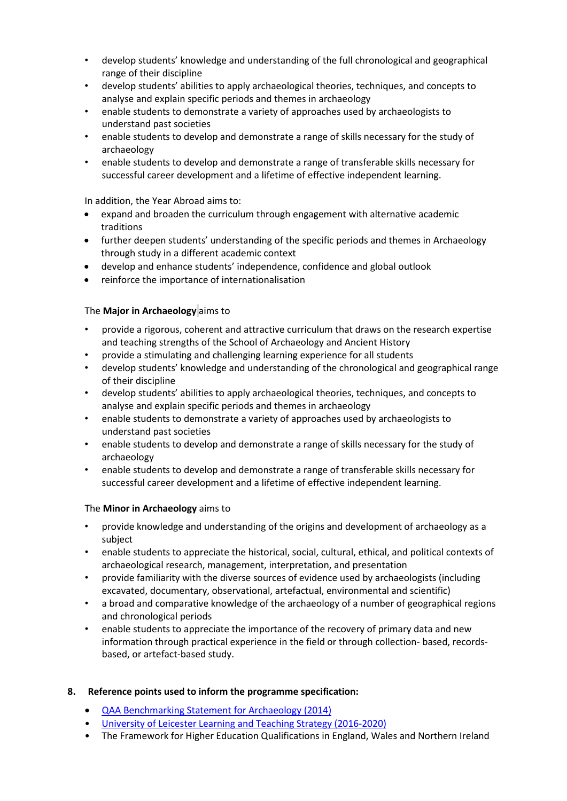- develop students' knowledge and understanding of the full chronological and geographical range of their discipline
- develop students' abilities to apply archaeological theories, techniques, and concepts to analyse and explain specific periods and themes in archaeology
- enable students to demonstrate a variety of approaches used by archaeologists to understand past societies
- enable students to develop and demonstrate a range of skills necessary for the study of archaeology
- enable students to develop and demonstrate a range of transferable skills necessary for successful career development and a lifetime of effective independent learning.

In addition, the Year Abroad aims to:

- expand and broaden the curriculum through engagement with alternative academic traditions
- further deepen students' understanding of the specific periods and themes in Archaeology through study in a different academic context
- develop and enhance students' independence, confidence and global outlook
- reinforce the importance of internationalisation

# The **Major in Archaeology** aims to

- provide a rigorous, coherent and attractive curriculum that draws on the research expertise and teaching strengths of the School of Archaeology and Ancient History
- provide a stimulating and challenging learning experience for all students
- develop students' knowledge and understanding of the chronological and geographical range of their discipline
- develop students' abilities to apply archaeological theories, techniques, and concepts to analyse and explain specific periods and themes in archaeology
- enable students to demonstrate a variety of approaches used by archaeologists to understand past societies
- enable students to develop and demonstrate a range of skills necessary for the study of archaeology
- enable students to develop and demonstrate a range of transferable skills necessary for successful career development and a lifetime of effective independent learning.

# The **Minor in Archaeology** aims to

- provide knowledge and understanding of the origins and development of archaeology as a subject
- enable students to appreciate the historical, social, cultural, ethical, and political contexts of archaeological research, management, interpretation, and presentation
- provide familiarity with the diverse sources of evidence used by archaeologists (including excavated, documentary, observational, artefactual, environmental and scientific)
- a broad and comparative knowledge of the archaeology of a number of geographical regions and chronological periods
- enable students to appreciate the importance of the recovery of primary data and new information through practical experience in the field or through collection- based, recordsbased, or artefact-based study.

# **8. Reference points used to inform the programme specification:**

- [QAA Benchmarking Statement](http://www.qaa.ac.uk/en/Publications/Documents/SBS-archaeology-14.pdf) for Archaeology (2014)
- [University of Leicester Learning and Teaching Strategy \(2016-2020\)](http://www2.le.ac.uk/offices/sas2/quality/learnteach)
- The Framework for Higher Education Qualifications in England, Wales and Northern Ireland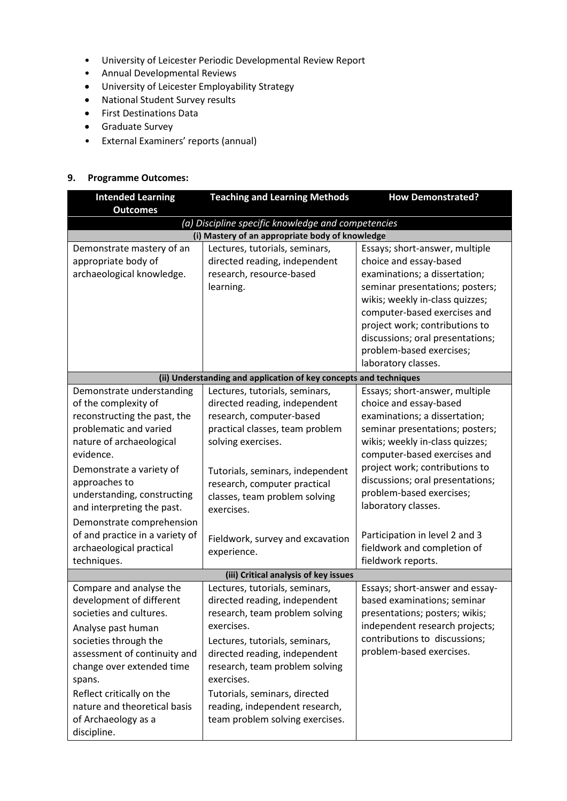- University of Leicester Periodic Developmental Review Report
- Annual Developmental Reviews
- University of Leicester Employability Strategy
- National Student Survey results
- First Destinations Data
- Graduate Survey
- External Examiners' reports (annual)

# **9. Programme Outcomes:**

| <b>Intended Learning</b>                           | <b>Teaching and Learning Methods</b>                              | <b>How Demonstrated?</b>         |  |  |  |
|----------------------------------------------------|-------------------------------------------------------------------|----------------------------------|--|--|--|
| <b>Outcomes</b>                                    |                                                                   |                                  |  |  |  |
| (a) Discipline specific knowledge and competencies |                                                                   |                                  |  |  |  |
|                                                    | (i) Mastery of an appropriate body of knowledge                   |                                  |  |  |  |
| Demonstrate mastery of an                          | Lectures, tutorials, seminars,                                    | Essays; short-answer, multiple   |  |  |  |
| appropriate body of                                | directed reading, independent                                     | choice and essay-based           |  |  |  |
| archaeological knowledge.                          | research, resource-based                                          | examinations; a dissertation;    |  |  |  |
|                                                    | learning.                                                         | seminar presentations; posters;  |  |  |  |
|                                                    |                                                                   | wikis; weekly in-class quizzes;  |  |  |  |
|                                                    |                                                                   | computer-based exercises and     |  |  |  |
|                                                    |                                                                   | project work; contributions to   |  |  |  |
|                                                    |                                                                   | discussions; oral presentations; |  |  |  |
|                                                    |                                                                   | problem-based exercises;         |  |  |  |
|                                                    |                                                                   | laboratory classes.              |  |  |  |
|                                                    | (ii) Understanding and application of key concepts and techniques |                                  |  |  |  |
| Demonstrate understanding                          | Lectures, tutorials, seminars,                                    | Essays; short-answer, multiple   |  |  |  |
| of the complexity of                               | directed reading, independent                                     | choice and essay-based           |  |  |  |
| reconstructing the past, the                       | research, computer-based                                          | examinations; a dissertation;    |  |  |  |
| problematic and varied                             | practical classes, team problem                                   | seminar presentations; posters;  |  |  |  |
| nature of archaeological                           | solving exercises.                                                | wikis; weekly in-class quizzes;  |  |  |  |
| evidence.                                          |                                                                   | computer-based exercises and     |  |  |  |
| Demonstrate a variety of                           | Tutorials, seminars, independent                                  | project work; contributions to   |  |  |  |
| approaches to                                      | research, computer practical                                      | discussions; oral presentations; |  |  |  |
| understanding, constructing                        | classes, team problem solving                                     | problem-based exercises;         |  |  |  |
| and interpreting the past.                         | exercises.                                                        | laboratory classes.              |  |  |  |
| Demonstrate comprehension                          |                                                                   |                                  |  |  |  |
| of and practice in a variety of                    | Fieldwork, survey and excavation                                  | Participation in level 2 and 3   |  |  |  |
| archaeological practical                           | experience.                                                       | fieldwork and completion of      |  |  |  |
| techniques.                                        |                                                                   | fieldwork reports.               |  |  |  |
|                                                    | (iii) Critical analysis of key issues                             |                                  |  |  |  |
| Compare and analyse the                            | Lectures, tutorials, seminars,                                    | Essays; short-answer and essay-  |  |  |  |
| development of different                           | directed reading, independent                                     | based examinations; seminar      |  |  |  |
| societies and cultures.                            | research, team problem solving                                    | presentations; posters; wikis;   |  |  |  |
| Analyse past human                                 | exercises.                                                        | independent research projects;   |  |  |  |
| societies through the                              | Lectures, tutorials, seminars,                                    | contributions to discussions;    |  |  |  |
| assessment of continuity and                       | directed reading, independent                                     | problem-based exercises.         |  |  |  |
| change over extended time                          | research, team problem solving                                    |                                  |  |  |  |
| spans.                                             | exercises.                                                        |                                  |  |  |  |
| Reflect critically on the                          | Tutorials, seminars, directed                                     |                                  |  |  |  |
| nature and theoretical basis                       | reading, independent research,                                    |                                  |  |  |  |
| of Archaeology as a                                | team problem solving exercises.                                   |                                  |  |  |  |
| discipline.                                        |                                                                   |                                  |  |  |  |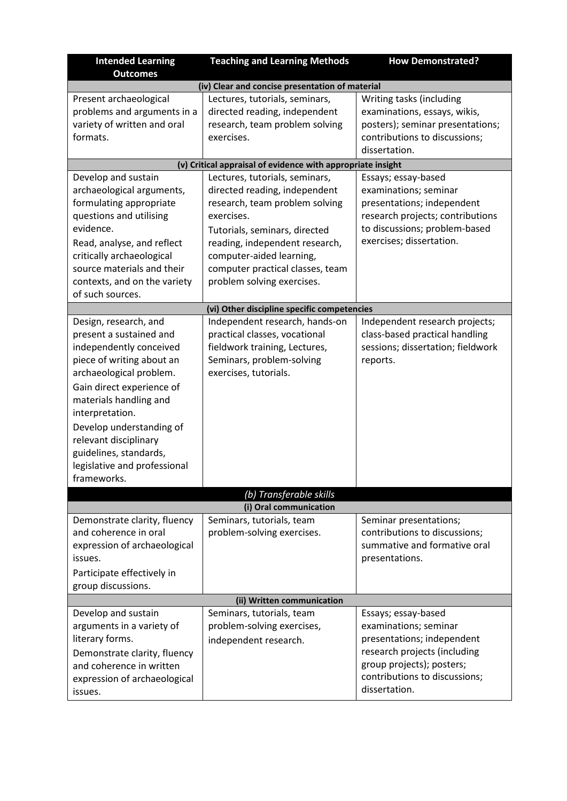| <b>Intended Learning</b><br><b>Outcomes</b>                                                                                                                                                                                                                                                                                                 | <b>Teaching and Learning Methods</b>                                                                                                                                                                                                              | <b>How Demonstrated?</b>                                                                                                                                                                       |  |  |
|---------------------------------------------------------------------------------------------------------------------------------------------------------------------------------------------------------------------------------------------------------------------------------------------------------------------------------------------|---------------------------------------------------------------------------------------------------------------------------------------------------------------------------------------------------------------------------------------------------|------------------------------------------------------------------------------------------------------------------------------------------------------------------------------------------------|--|--|
| (iv) Clear and concise presentation of material                                                                                                                                                                                                                                                                                             |                                                                                                                                                                                                                                                   |                                                                                                                                                                                                |  |  |
| Present archaeological<br>problems and arguments in a<br>variety of written and oral<br>formats.<br>Develop and sustain<br>archaeological arguments,                                                                                                                                                                                        | Lectures, tutorials, seminars,<br>directed reading, independent<br>research, team problem solving<br>exercises.<br>(v) Critical appraisal of evidence with appropriate insight<br>Lectures, tutorials, seminars,<br>directed reading, independent | Writing tasks (including<br>examinations, essays, wikis,<br>posters); seminar presentations;<br>contributions to discussions;<br>dissertation.<br>Essays; essay-based<br>examinations; seminar |  |  |
| formulating appropriate<br>questions and utilising<br>evidence.<br>Read, analyse, and reflect<br>critically archaeological<br>source materials and their<br>contexts, and on the variety<br>of such sources.                                                                                                                                | research, team problem solving<br>exercises.<br>Tutorials, seminars, directed<br>reading, independent research,<br>computer-aided learning,<br>computer practical classes, team<br>problem solving exercises.                                     | presentations; independent<br>research projects; contributions<br>to discussions; problem-based<br>exercises; dissertation.                                                                    |  |  |
|                                                                                                                                                                                                                                                                                                                                             | (vi) Other discipline specific competencies<br>Independent research, hands-on                                                                                                                                                                     | Independent research projects;                                                                                                                                                                 |  |  |
| Design, research, and<br>present a sustained and<br>independently conceived<br>piece of writing about an<br>archaeological problem.<br>Gain direct experience of<br>materials handling and<br>interpretation.<br>Develop understanding of<br>relevant disciplinary<br>guidelines, standards,<br>legislative and professional<br>frameworks. | practical classes, vocational<br>fieldwork training, Lectures,<br>Seminars, problem-solving<br>exercises, tutorials.                                                                                                                              | class-based practical handling<br>sessions; dissertation; fieldwork<br>reports.                                                                                                                |  |  |
|                                                                                                                                                                                                                                                                                                                                             | (b) Transferable skills<br>(i) Oral communication                                                                                                                                                                                                 |                                                                                                                                                                                                |  |  |
| Demonstrate clarity, fluency<br>and coherence in oral<br>expression of archaeological<br>issues.<br>Participate effectively in<br>group discussions.                                                                                                                                                                                        | Seminars, tutorials, team<br>problem-solving exercises.<br>(ii) Written communication                                                                                                                                                             | Seminar presentations;<br>contributions to discussions;<br>summative and formative oral<br>presentations.                                                                                      |  |  |
| Develop and sustain                                                                                                                                                                                                                                                                                                                         | Seminars, tutorials, team                                                                                                                                                                                                                         | Essays; essay-based                                                                                                                                                                            |  |  |
| arguments in a variety of<br>literary forms.<br>Demonstrate clarity, fluency<br>and coherence in written<br>expression of archaeological<br>issues.                                                                                                                                                                                         | problem-solving exercises,<br>independent research.                                                                                                                                                                                               | examinations; seminar<br>presentations; independent<br>research projects (including<br>group projects); posters;<br>contributions to discussions;<br>dissertation.                             |  |  |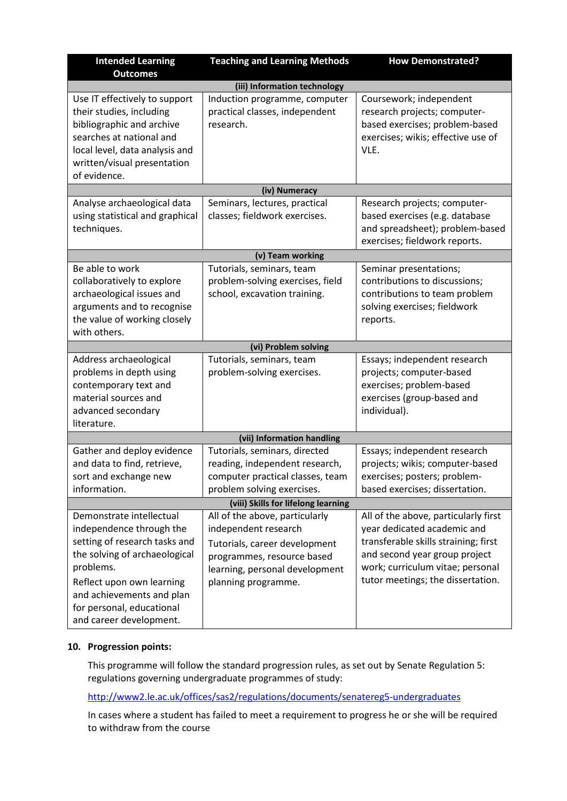| <b>Intended Learning</b><br><b>Outcomes</b>                                                                                                                                                                                                           | <b>Teaching and Learning Methods</b>                                                                                                                                           | <b>How Demonstrated?</b>                                                                                                                                                                                              |  |  |
|-------------------------------------------------------------------------------------------------------------------------------------------------------------------------------------------------------------------------------------------------------|--------------------------------------------------------------------------------------------------------------------------------------------------------------------------------|-----------------------------------------------------------------------------------------------------------------------------------------------------------------------------------------------------------------------|--|--|
|                                                                                                                                                                                                                                                       | (iii) Information technology                                                                                                                                                   |                                                                                                                                                                                                                       |  |  |
| Use IT effectively to support<br>their studies, including<br>bibliographic and archive<br>searches at national and<br>local level, data analysis and<br>written/visual presentation<br>of evidence.                                                   | Induction programme, computer<br>practical classes, independent<br>research.                                                                                                   | Coursework; independent<br>research projects; computer-<br>based exercises; problem-based<br>exercises; wikis; effective use of<br>VLE.                                                                               |  |  |
|                                                                                                                                                                                                                                                       | (iv) Numeracy                                                                                                                                                                  |                                                                                                                                                                                                                       |  |  |
| Analyse archaeological data<br>using statistical and graphical<br>techniques.                                                                                                                                                                         | Seminars, lectures, practical<br>classes; fieldwork exercises.                                                                                                                 | Research projects; computer-<br>based exercises (e.g. database<br>and spreadsheet); problem-based<br>exercises; fieldwork reports.                                                                                    |  |  |
|                                                                                                                                                                                                                                                       | (v) Team working                                                                                                                                                               |                                                                                                                                                                                                                       |  |  |
| Be able to work<br>collaboratively to explore<br>archaeological issues and<br>arguments and to recognise<br>the value of working closely<br>with others.                                                                                              | Tutorials, seminars, team<br>problem-solving exercises, field<br>school, excavation training.                                                                                  | Seminar presentations;<br>contributions to discussions;<br>contributions to team problem<br>solving exercises; fieldwork<br>reports.                                                                                  |  |  |
|                                                                                                                                                                                                                                                       | (vi) Problem solving                                                                                                                                                           |                                                                                                                                                                                                                       |  |  |
| Address archaeological<br>problems in depth using<br>contemporary text and<br>material sources and<br>advanced secondary<br>literature.                                                                                                               | Tutorials, seminars, team<br>problem-solving exercises.                                                                                                                        | Essays; independent research<br>projects; computer-based<br>exercises; problem-based<br>exercises (group-based and<br>individual).                                                                                    |  |  |
|                                                                                                                                                                                                                                                       | (vii) Information handling                                                                                                                                                     |                                                                                                                                                                                                                       |  |  |
| Gather and deploy evidence<br>and data to find, retrieve,<br>sort and exchange new<br>information.                                                                                                                                                    | Tutorials, seminars, directed<br>reading, independent research,<br>computer practical classes, team<br>problem solving exercises.                                              | Essays; independent research<br>projects; wikis; computer-based<br>exercises; posters; problem-<br>based exercises; dissertation.                                                                                     |  |  |
| (viii) Skills for lifelong learning                                                                                                                                                                                                                   |                                                                                                                                                                                |                                                                                                                                                                                                                       |  |  |
| Demonstrate intellectual<br>independence through the<br>setting of research tasks and<br>the solving of archaeological<br>problems.<br>Reflect upon own learning<br>and achievements and plan<br>for personal, educational<br>and career development. | All of the above, particularly<br>independent research<br>Tutorials, career development<br>programmes, resource based<br>learning, personal development<br>planning programme. | All of the above, particularly first<br>year dedicated academic and<br>transferable skills straining; first<br>and second year group project<br>work; curriculum vitae; personal<br>tutor meetings; the dissertation. |  |  |

# **10. Progression points:**

This programme will follow the standard progression rules, as set out by Senate Regulation 5: regulations governing undergraduate programmes of study:

<http://www2.le.ac.uk/offices/sas2/regulations/documents/senatereg5-undergraduates>

In cases where a student has failed to meet a requirement to progress he or she will be required to withdraw from the course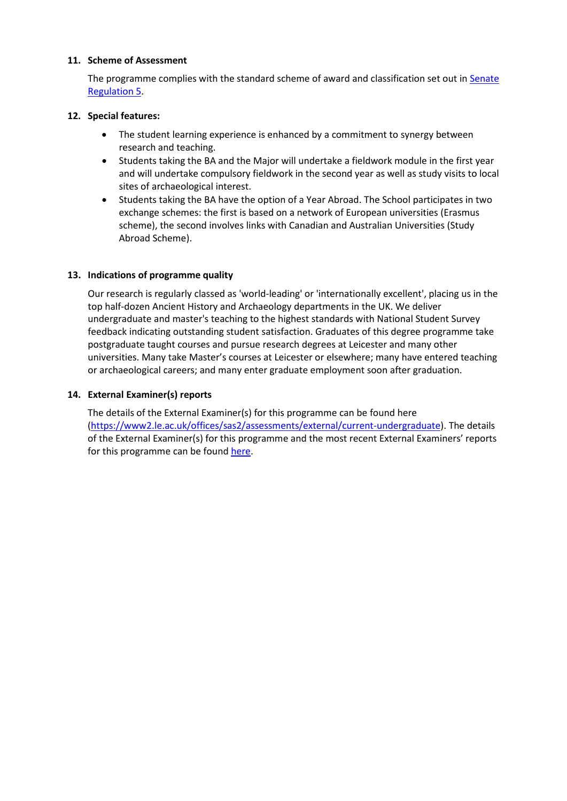### **11. Scheme of Assessment**

The programme complies with the standard scheme of award and classification set out i[n Senate](http://www2.le.ac.uk/offices/sas2/regulations/documents/senatereg5-undergraduates)  [Regulation 5.](http://www2.le.ac.uk/offices/sas2/regulations/documents/senatereg5-undergraduates)

### **12. Special features:**

- The student learning experience is enhanced by a commitment to synergy between research and teaching.
- Students taking the BA and the Major will undertake a fieldwork module in the first year and will undertake compulsory fieldwork in the second year as well as study visits to local sites of archaeological interest.
- Students taking the BA have the option of a Year Abroad. The School participates in two exchange schemes: the first is based on a network of European universities (Erasmus scheme), the second involves links with Canadian and Australian Universities (Study Abroad Scheme).

# **13. Indications of programme quality**

Our research is regularly classed as 'world-leading' or 'internationally excellent', placing us in the top half-dozen Ancient History and Archaeology departments in the UK. We deliver undergraduate and master's teaching to the highest standards with National Student Survey feedback indicating outstanding student satisfaction. Graduates of this degree programme take postgraduate taught courses and pursue research degrees at Leicester and many other universities. Many take Master's courses at Leicester or elsewhere; many have entered teaching or archaeological careers; and many enter graduate employment soon after graduation.

# **14. External Examiner(s) reports**

The details of the External Examiner(s) for this programme can be found here [\(https://www2.le.ac.uk/offices/sas2/assessments/external/current-undergraduate\)](https://www2.le.ac.uk/offices/sas2/assessments/external/current-undergraduate). The details of the External Examiner(s) for this programme and the most recent External Examiners' reports for this programme can be foun[d here.](https://exampapers.le.ac.uk/xmlui/)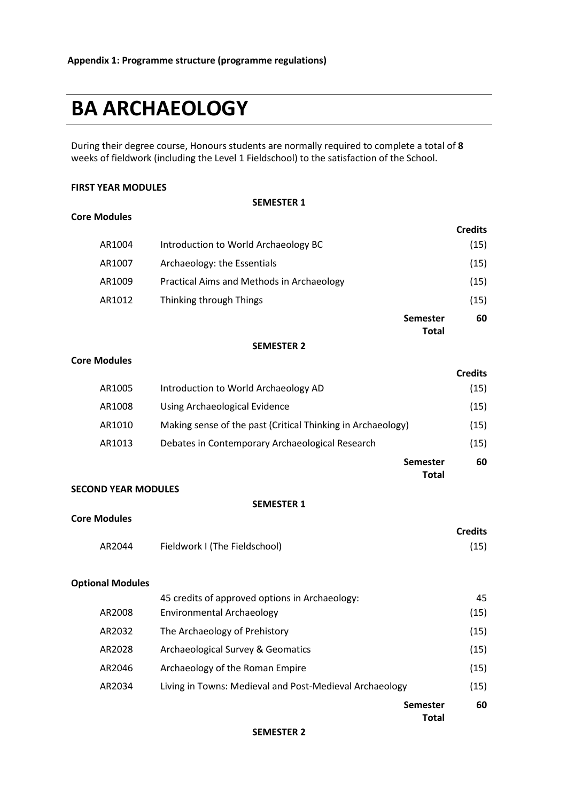# **BA ARCHAEOLOGY**

During their degree course, Honours students are normally required to complete a total of **8** weeks of fieldwork (including the Level 1 Fieldschool) to the satisfaction of the School.

#### **FIRST YEAR MODULES**

**Core Modules**

#### **SEMESTER 1**

|        |                                           |                                 | <b>Credits</b> |
|--------|-------------------------------------------|---------------------------------|----------------|
| AR1004 | Introduction to World Archaeology BC      |                                 | (15)           |
| AR1007 | Archaeology: the Essentials               |                                 | (15)           |
| AR1009 | Practical Aims and Methods in Archaeology |                                 | (15)           |
| AR1012 | Thinking through Things                   |                                 | (15)           |
|        |                                           | <b>Semester</b><br><b>Total</b> | 60             |

#### **SEMESTER 2**

#### **Core Modules**

|        |                                                             |          | <b>Credits</b> |
|--------|-------------------------------------------------------------|----------|----------------|
| AR1005 | Introduction to World Archaeology AD                        |          | (15)           |
| AR1008 | Using Archaeological Evidence                               |          | (15)           |
| AR1010 | Making sense of the past (Critical Thinking in Archaeology) |          | (15)           |
| AR1013 | Debates in Contemporary Archaeological Research             |          | (15)           |
|        |                                                             | Semester | 60             |

**Total**

#### **SECOND YEAR MODULES**

#### **SEMESTER 1**

|        |                               | <b>Credits</b> |
|--------|-------------------------------|----------------|
| AR2044 | Fieldwork I (The Fieldschool) | (15)           |

#### **Optional Modules**

**Core Modules**

|        | <b>Semester</b><br>Total                                | 60   |
|--------|---------------------------------------------------------|------|
| AR2034 | Living in Towns: Medieval and Post-Medieval Archaeology | (15) |
| AR2046 | Archaeology of the Roman Empire                         | (15) |
| AR2028 | Archaeological Survey & Geomatics                       | (15) |
| AR2032 | The Archaeology of Prehistory                           | (15) |
| AR2008 | Environmental Archaeology                               | (15) |
|        | 45 credits of approved options in Archaeology:          | 45   |

#### **SEMESTER 2**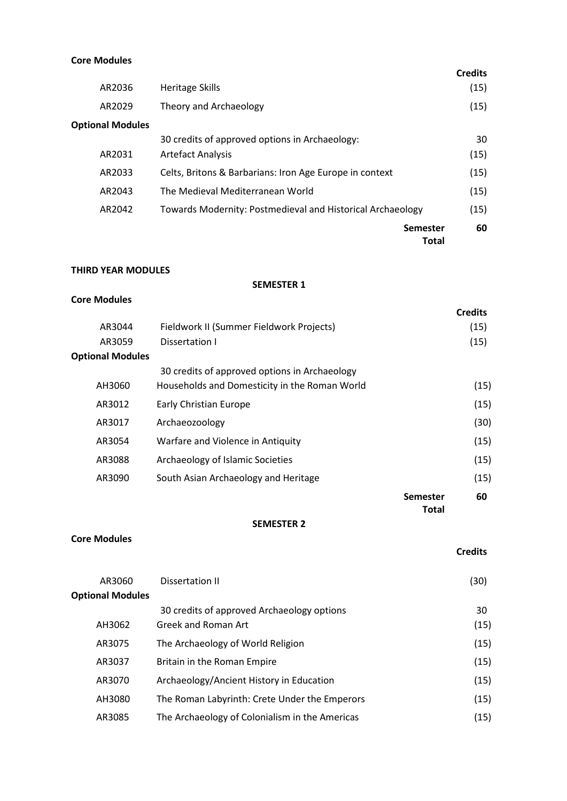# **Core Modules**

|                         |                                                            |                                 | <b>Credits</b> |
|-------------------------|------------------------------------------------------------|---------------------------------|----------------|
| AR2036                  | Heritage Skills                                            |                                 | (15)           |
| AR2029                  | Theory and Archaeology                                     |                                 | (15)           |
| <b>Optional Modules</b> |                                                            |                                 |                |
|                         | 30 credits of approved options in Archaeology:             |                                 | 30             |
| AR2031                  | <b>Artefact Analysis</b>                                   |                                 | (15)           |
| AR2033                  | Celts, Britons & Barbarians: Iron Age Europe in context    |                                 | (15)           |
| AR2043                  | The Medieval Mediterranean World                           |                                 | (15)           |
| AR2042                  | Towards Modernity: Postmedieval and Historical Archaeology |                                 | (15)           |
|                         |                                                            | <b>Semester</b><br><b>Total</b> | 60             |

# **THIRD YEAR MODULES**

**Core Modules**

# **SEMESTER 1**

|                         |                                               |                 | <b>Credits</b> |
|-------------------------|-----------------------------------------------|-----------------|----------------|
| AR3044                  | Fieldwork II (Summer Fieldwork Projects)      |                 | (15)           |
| AR3059                  | Dissertation I                                |                 | (15)           |
| <b>Optional Modules</b> |                                               |                 |                |
|                         | 30 credits of approved options in Archaeology |                 |                |
| AH3060                  | Households and Domesticity in the Roman World |                 | (15)           |
| AR3012                  | Early Christian Europe                        |                 | (15)           |
| AR3017                  | Archaeozoology                                |                 | (30)           |
| AR3054                  | Warfare and Violence in Antiquity             |                 | (15)           |
| AR3088                  | Archaeology of Islamic Societies              |                 | (15)           |
| AR3090                  | South Asian Archaeology and Heritage          |                 | (15)           |
|                         |                                               | <b>Semester</b> | 60             |
|                         |                                               | Total           |                |

#### **SEMESTER 2**

# **Core Modules**

#### **Credits**

| AR3060                  | Dissertation II                                | (30) |
|-------------------------|------------------------------------------------|------|
| <b>Optional Modules</b> |                                                |      |
|                         | 30 credits of approved Archaeology options     | 30   |
| AH3062                  | <b>Greek and Roman Art</b>                     | (15) |
| AR3075                  | The Archaeology of World Religion              | (15) |
| AR3037                  | Britain in the Roman Empire                    | (15) |
| AR3070                  | Archaeology/Ancient History in Education       | (15) |
| AH3080                  | The Roman Labyrinth: Crete Under the Emperors  | (15) |
| AR3085                  | The Archaeology of Colonialism in the Americas | (15) |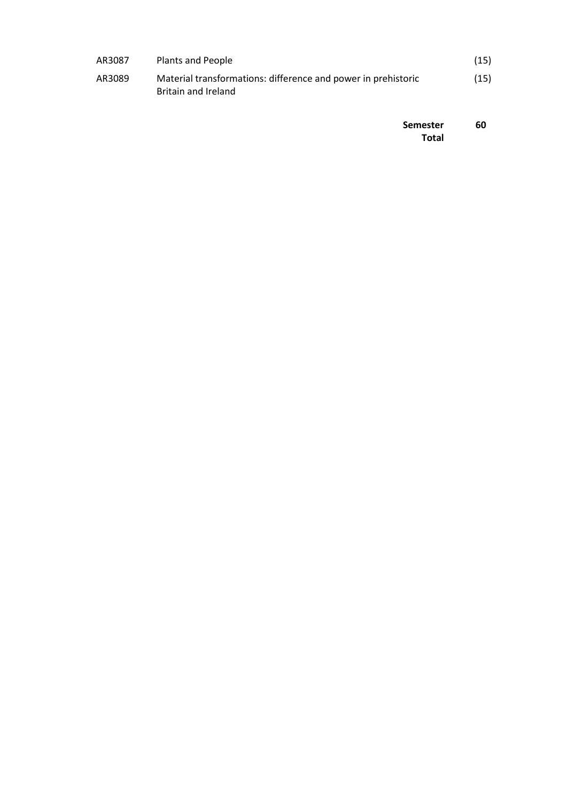| AR3087 | Plants and People                                                                    | (15) |
|--------|--------------------------------------------------------------------------------------|------|
| AR3089 | Material transformations: difference and power in prehistoric<br>Britain and Ireland | (15) |

| <b>Semester</b> | 60 |
|-----------------|----|
| Total           |    |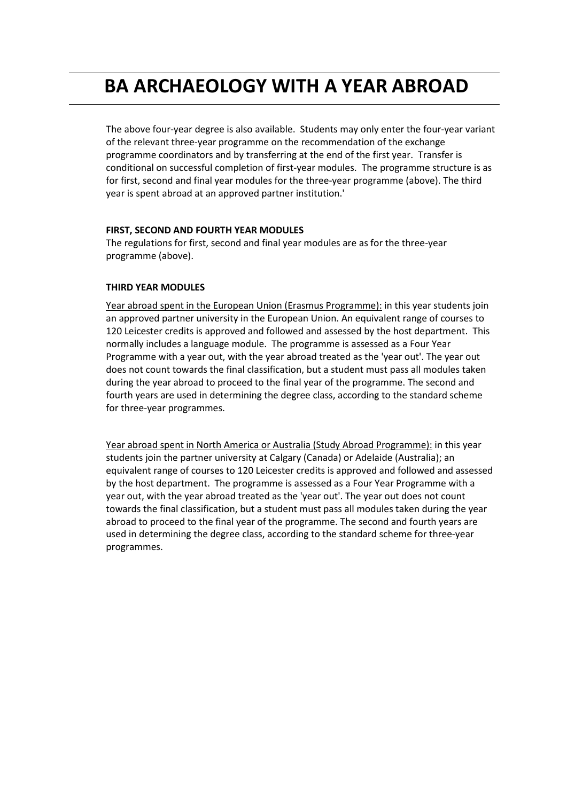# **BA ARCHAEOLOGY WITH A YEAR ABROAD**

The above four-year degree is also available. Students may only enter the four-year variant of the relevant three-year programme on the recommendation of the exchange programme coordinators and by transferring at the end of the first year. Transfer is conditional on successful completion of first-year modules. The programme structure is as for first, second and final year modules for the three-year programme (above). The third year is spent abroad at an approved partner institution.'

#### **FIRST, SECOND AND FOURTH YEAR MODULES**

The regulations for first, second and final year modules are as for the three-year programme (above).

#### **THIRD YEAR MODULES**

Year abroad spent in the European Union (Erasmus Programme): in this year students join an approved partner university in the European Union. An equivalent range of courses to 120 Leicester credits is approved and followed and assessed by the host department. This normally includes a language module. The programme is assessed as a Four Year Programme with a year out, with the year abroad treated as the 'year out'. The year out does not count towards the final classification, but a student must pass all modules taken during the year abroad to proceed to the final year of the programme. The second and fourth years are used in determining the degree class, according to the standard scheme for three-year programmes.

Year abroad spent in North America or Australia (Study Abroad Programme): in this year students join the partner university at Calgary (Canada) or Adelaide (Australia); an equivalent range of courses to 120 Leicester credits is approved and followed and assessed by the host department. The programme is assessed as a Four Year Programme with a year out, with the year abroad treated as the 'year out'. The year out does not count towards the final classification, but a student must pass all modules taken during the year abroad to proceed to the final year of the programme. The second and fourth years are used in determining the degree class, according to the standard scheme for three-year programmes.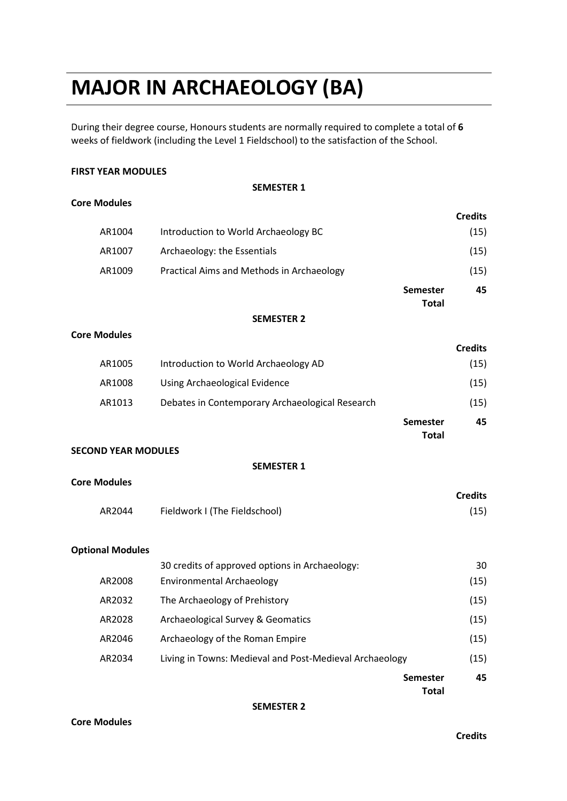# **MAJOR IN ARCHAEOLOGY (BA)**

During their degree course, Honours students are normally required to complete a total of **6** weeks of fieldwork (including the Level 1 Fieldschool) to the satisfaction of the School.

#### **FIRST YEAR MODULES**

|                            | <b>SEMESTER 1</b>                                       |                |
|----------------------------|---------------------------------------------------------|----------------|
| <b>Core Modules</b>        |                                                         |                |
|                            |                                                         | <b>Credits</b> |
| AR1004                     | Introduction to World Archaeology BC                    | (15)           |
| AR1007                     | Archaeology: the Essentials                             | (15)           |
| AR1009                     | Practical Aims and Methods in Archaeology               | (15)           |
|                            | <b>Semester</b><br><b>Total</b>                         | 45             |
|                            | <b>SEMESTER 2</b>                                       |                |
| <b>Core Modules</b>        |                                                         |                |
|                            |                                                         | <b>Credits</b> |
| AR1005                     | Introduction to World Archaeology AD                    | (15)           |
| AR1008                     | <b>Using Archaeological Evidence</b>                    | (15)           |
| AR1013                     | Debates in Contemporary Archaeological Research         | (15)           |
|                            | <b>Semester</b>                                         | 45             |
|                            | <b>Total</b>                                            |                |
| <b>SECOND YEAR MODULES</b> |                                                         |                |
|                            | <b>SEMESTER 1</b>                                       |                |
| <b>Core Modules</b>        |                                                         | <b>Credits</b> |
| AR2044                     | Fieldwork I (The Fieldschool)                           | (15)           |
|                            |                                                         |                |
| <b>Optional Modules</b>    |                                                         |                |
|                            | 30 credits of approved options in Archaeology:          | 30             |
| AR2008                     | <b>Environmental Archaeology</b>                        | (15)           |
| AR2032                     | The Archaeology of Prehistory                           | (15)           |
| AR2028                     | Archaeological Survey & Geomatics                       | (15)           |
| AR2046                     | Archaeology of the Roman Empire                         | (15)           |
| AR2034                     | Living in Towns: Medieval and Post-Medieval Archaeology | (15)           |

**SEMESTER 2**

**Core Modules**

**45**

**Semester Total**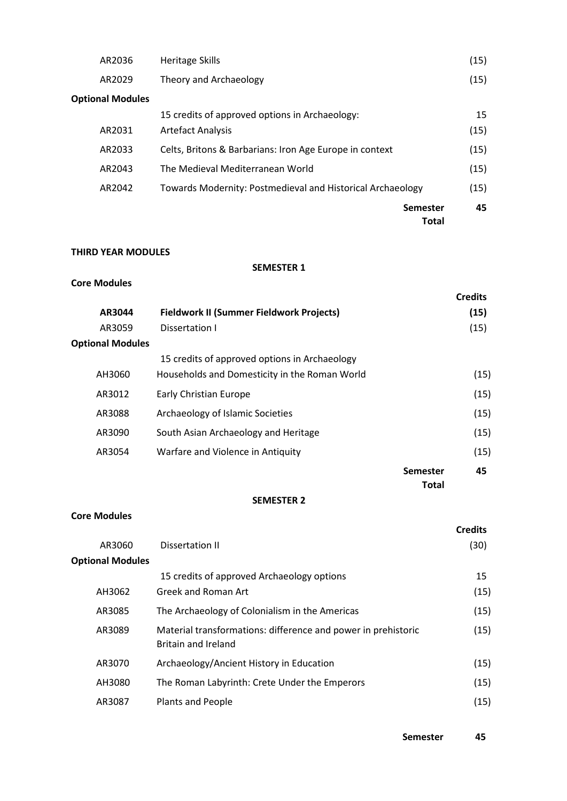| AR2036                  | <b>Heritage Skills</b>                                     |                                 | (15) |
|-------------------------|------------------------------------------------------------|---------------------------------|------|
| AR2029                  | Theory and Archaeology                                     |                                 | (15) |
| <b>Optional Modules</b> |                                                            |                                 |      |
|                         | 15 credits of approved options in Archaeology:             |                                 | 15   |
| AR2031                  | <b>Artefact Analysis</b>                                   |                                 | (15) |
| AR2033                  | Celts, Britons & Barbarians: Iron Age Europe in context    |                                 | (15) |
| AR2043                  | The Medieval Mediterranean World                           |                                 | (15) |
| AR2042                  | Towards Modernity: Postmedieval and Historical Archaeology |                                 | (15) |
|                         |                                                            | <b>Semester</b><br><b>Total</b> | 45   |

# **THIRD YEAR MODULES**

#### **SEMESTER 1**

| <b>Core Modules</b> |  |
|---------------------|--|
|---------------------|--|

**Core Modules**

|                         |                                               |                          | <b>Credits</b> |
|-------------------------|-----------------------------------------------|--------------------------|----------------|
| AR3044                  | Fieldwork II (Summer Fieldwork Projects)      |                          | (15)           |
| AR3059                  | Dissertation I                                |                          | (15)           |
| <b>Optional Modules</b> |                                               |                          |                |
|                         | 15 credits of approved options in Archaeology |                          |                |
| AH3060                  | Households and Domesticity in the Roman World |                          | (15)           |
| AR3012                  | Early Christian Europe                        |                          | (15)           |
| AR3088                  | Archaeology of Islamic Societies              |                          | (15)           |
| AR3090                  | South Asian Archaeology and Heritage          |                          | (15)           |
| AR3054                  | Warfare and Violence in Antiquity             |                          | (15)           |
|                         |                                               | <b>Semester</b><br>Total | 45             |

#### **SEMESTER 2**

|                         |                                                                                      | <b>Credits</b> |
|-------------------------|--------------------------------------------------------------------------------------|----------------|
| AR3060                  | Dissertation II                                                                      | (30)           |
| <b>Optional Modules</b> |                                                                                      |                |
|                         | 15 credits of approved Archaeology options                                           | 15             |
| AH3062                  | Greek and Roman Art                                                                  | (15)           |
| AR3085                  | The Archaeology of Colonialism in the Americas                                       | (15)           |
| AR3089                  | Material transformations: difference and power in prehistoric<br>Britain and Ireland | (15)           |
| AR3070                  | Archaeology/Ancient History in Education                                             | (15)           |
| AH3080                  | The Roman Labyrinth: Crete Under the Emperors                                        | (15)           |
| AR3087                  | <b>Plants and People</b>                                                             | (15)           |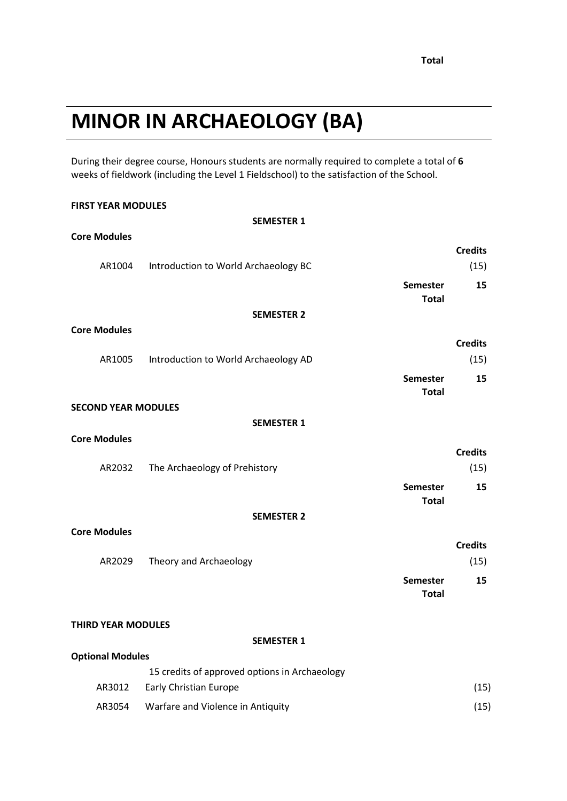# **MINOR IN ARCHAEOLOGY (BA)**

During their degree course, Honours students are normally required to complete a total of **6** weeks of fieldwork (including the Level 1 Fieldschool) to the satisfaction of the School.

| <b>FIRST YEAR MODULES</b>  |                                               |                 |                |
|----------------------------|-----------------------------------------------|-----------------|----------------|
|                            | <b>SEMESTER 1</b>                             |                 |                |
| <b>Core Modules</b>        |                                               |                 |                |
|                            |                                               |                 | <b>Credits</b> |
| AR1004                     | Introduction to World Archaeology BC          |                 | (15)           |
|                            |                                               | <b>Semester</b> | 15             |
|                            |                                               | <b>Total</b>    |                |
|                            | <b>SEMESTER 2</b>                             |                 |                |
| <b>Core Modules</b>        |                                               |                 |                |
|                            |                                               |                 | <b>Credits</b> |
| AR1005                     | Introduction to World Archaeology AD          |                 | (15)           |
|                            |                                               |                 |                |
|                            |                                               | <b>Semester</b> | 15             |
|                            |                                               | <b>Total</b>    |                |
| <b>SECOND YEAR MODULES</b> |                                               |                 |                |
|                            | <b>SEMESTER 1</b>                             |                 |                |
| <b>Core Modules</b>        |                                               |                 |                |
|                            |                                               |                 | <b>Credits</b> |
| AR2032                     | The Archaeology of Prehistory                 |                 | (15)           |
|                            |                                               | <b>Semester</b> | 15             |
|                            |                                               | <b>Total</b>    |                |
|                            | <b>SEMESTER 2</b>                             |                 |                |
| <b>Core Modules</b>        |                                               |                 |                |
|                            |                                               |                 | <b>Credits</b> |
| AR2029                     | Theory and Archaeology                        |                 | (15)           |
|                            |                                               | <b>Semester</b> | 15             |
|                            |                                               | <b>Total</b>    |                |
|                            |                                               |                 |                |
| <b>THIRD YEAR MODULES</b>  |                                               |                 |                |
|                            | <b>SEMESTER 1</b>                             |                 |                |
| <b>Optional Modules</b>    |                                               |                 |                |
|                            | 15 credits of approved options in Archaeology |                 |                |
| AR3012                     | Early Christian Europe                        |                 | (15)           |
|                            |                                               |                 |                |
| AR3054                     | Warfare and Violence in Antiquity             |                 | (15)           |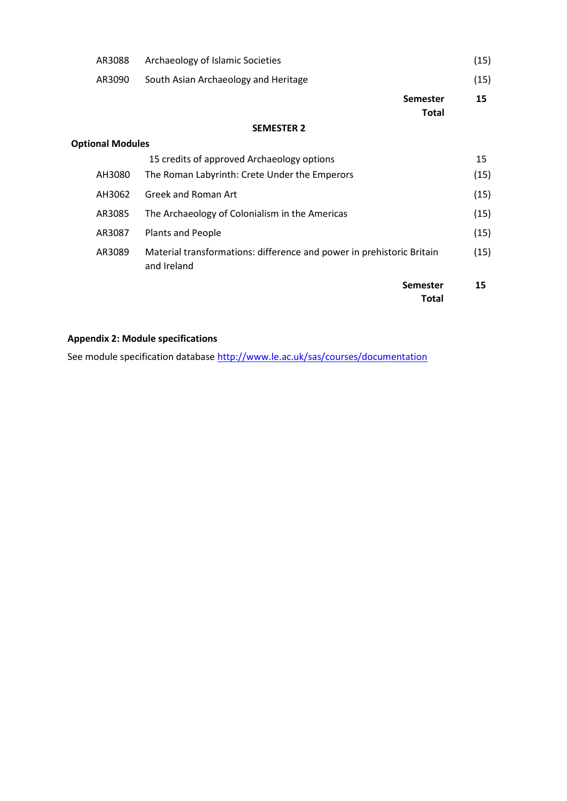| Archaeology of Islamic Societies                                                     | (15)                                    |
|--------------------------------------------------------------------------------------|-----------------------------------------|
| South Asian Archaeology and Heritage                                                 | (15)                                    |
| <b>Semester</b>                                                                      | 15                                      |
| <b>Total</b>                                                                         |                                         |
| <b>SEMESTER 2</b>                                                                    |                                         |
|                                                                                      |                                         |
| 15 credits of approved Archaeology options                                           | 15                                      |
| The Roman Labyrinth: Crete Under the Emperors                                        | (15)                                    |
| <b>Greek and Roman Art</b>                                                           | (15)                                    |
| The Archaeology of Colonialism in the Americas                                       | (15)                                    |
| <b>Plants and People</b>                                                             | (15)                                    |
| Material transformations: difference and power in prehistoric Britain<br>and Ireland | (15)                                    |
| <b>Semester</b>                                                                      | 15                                      |
|                                                                                      | <b>Optional Modules</b><br><b>Total</b> |

# **Appendix 2: Module specifications**

See module specification database <http://www.le.ac.uk/sas/courses/documentation>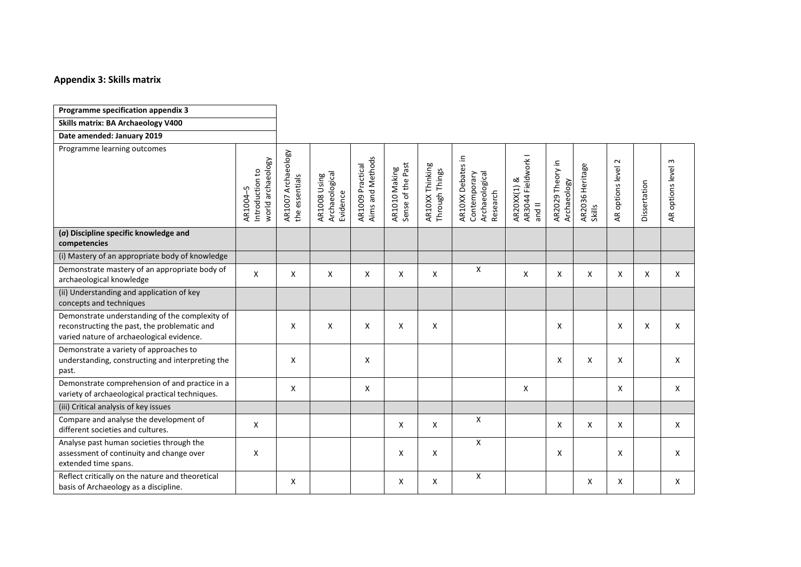#### **Appendix 3: Skills matrix**

| Programme specification appendix 3                                                                                                          |                                                  |                                         |                                            |                                      |                                    |                                   |                                                                 |                                             |                                 |                                  |                            |              |                    |
|---------------------------------------------------------------------------------------------------------------------------------------------|--------------------------------------------------|-----------------------------------------|--------------------------------------------|--------------------------------------|------------------------------------|-----------------------------------|-----------------------------------------------------------------|---------------------------------------------|---------------------------------|----------------------------------|----------------------------|--------------|--------------------|
| Skills matrix: BA Archaeology V400                                                                                                          |                                                  |                                         |                                            |                                      |                                    |                                   |                                                                 |                                             |                                 |                                  |                            |              |                    |
| Date amended: January 2019                                                                                                                  |                                                  |                                         |                                            |                                      |                                    |                                   |                                                                 |                                             |                                 |                                  |                            |              |                    |
| Programme learning outcomes                                                                                                                 | world archaeology<br>Introduction to<br>AR1004-5 | Archaeology<br>the essentials<br>AR1007 | Archaeological<br>AR1008 Using<br>Evidence | Aims and Methods<br>AR1009 Practical | Sense of the Past<br>AR1010 Making | AR10XX Thinking<br>Through Things | AR10XX Debates in<br>Archaeological<br>Contemporary<br>Research | AR3044 Fieldwork I<br>AR20XX(1) &<br>and II | AR2029 Theory in<br>Archaeology | AR2036 Heritage<br><b>Skills</b> | $\sim$<br>AR options level | Dissertation | AR options level 3 |
| (a) Discipline specific knowledge and<br>competencies                                                                                       |                                                  |                                         |                                            |                                      |                                    |                                   |                                                                 |                                             |                                 |                                  |                            |              |                    |
| (i) Mastery of an appropriate body of knowledge                                                                                             |                                                  |                                         |                                            |                                      |                                    |                                   |                                                                 |                                             |                                 |                                  |                            |              |                    |
| Demonstrate mastery of an appropriate body of<br>archaeological knowledge                                                                   | X                                                | X                                       | X                                          | X                                    | Χ                                  | X                                 | X                                                               | X                                           | X                               | X                                | X                          | X            | X                  |
| (ii) Understanding and application of key<br>concepts and techniques                                                                        |                                                  |                                         |                                            |                                      |                                    |                                   |                                                                 |                                             |                                 |                                  |                            |              |                    |
| Demonstrate understanding of the complexity of<br>reconstructing the past, the problematic and<br>varied nature of archaeological evidence. |                                                  | X                                       | X                                          | X                                    | X                                  | X                                 |                                                                 |                                             | X                               |                                  | X                          | X            | X                  |
| Demonstrate a variety of approaches to<br>understanding, constructing and interpreting the<br>past.                                         |                                                  | X                                       |                                            | X                                    |                                    |                                   |                                                                 |                                             | X                               | X                                | X                          |              | X                  |
| Demonstrate comprehension of and practice in a<br>variety of archaeological practical techniques.                                           |                                                  | X                                       |                                            | X                                    |                                    |                                   |                                                                 | X                                           |                                 |                                  | X                          |              | X                  |
| (iii) Critical analysis of key issues                                                                                                       |                                                  |                                         |                                            |                                      |                                    |                                   |                                                                 |                                             |                                 |                                  |                            |              |                    |
| Compare and analyse the development of<br>different societies and cultures.                                                                 | X                                                |                                         |                                            |                                      | X                                  | X                                 | X                                                               |                                             | X                               | X                                | X                          |              | X                  |
| Analyse past human societies through the<br>assessment of continuity and change over<br>extended time spans.                                | X                                                |                                         |                                            |                                      | X                                  | X                                 | X                                                               |                                             | X                               |                                  | X                          |              | X                  |
| Reflect critically on the nature and theoretical<br>basis of Archaeology as a discipline.                                                   |                                                  | X                                       |                                            |                                      | X                                  | X                                 | Χ                                                               |                                             |                                 | X                                | X                          |              | X                  |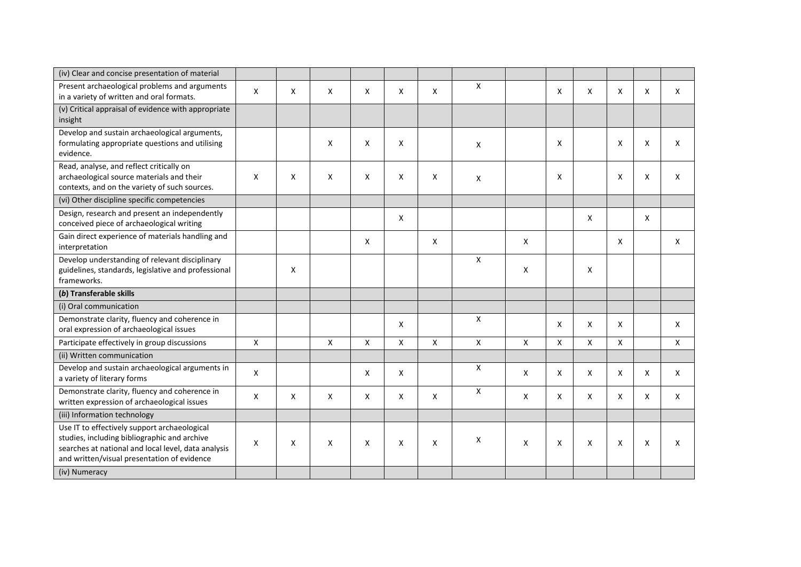| (iv) Clear and concise presentation of material                                                                                                                                                    |              |   |                           |   |                           |              |              |   |   |                           |              |   |   |
|----------------------------------------------------------------------------------------------------------------------------------------------------------------------------------------------------|--------------|---|---------------------------|---|---------------------------|--------------|--------------|---|---|---------------------------|--------------|---|---|
| Present archaeological problems and arguments<br>in a variety of written and oral formats.                                                                                                         | X            | X | X                         | X | X                         | X            | X            |   | X | X                         | X            | X | X |
| (v) Critical appraisal of evidence with appropriate<br>insight                                                                                                                                     |              |   |                           |   |                           |              |              |   |   |                           |              |   |   |
| Develop and sustain archaeological arguments,<br>formulating appropriate questions and utilising<br>evidence.                                                                                      |              |   | X                         | X | X                         |              | X            |   | X |                           | X            | X | X |
| Read, analyse, and reflect critically on<br>archaeological source materials and their<br>contexts, and on the variety of such sources.                                                             | X            | X | X                         | X | X                         | X            | X            |   | X |                           | X            | X | X |
| (vi) Other discipline specific competencies                                                                                                                                                        |              |   |                           |   |                           |              |              |   |   |                           |              |   |   |
| Design, research and present an independently<br>conceived piece of archaeological writing                                                                                                         |              |   |                           |   | X                         |              |              |   |   | X                         |              | X |   |
| Gain direct experience of materials handling and<br>interpretation                                                                                                                                 |              |   |                           | Χ |                           | X            |              | X |   |                           | X            |   | X |
| Develop understanding of relevant disciplinary<br>guidelines, standards, legislative and professional<br>frameworks.                                                                               |              | X |                           |   |                           |              | X            | X |   | X                         |              |   |   |
| (b) Transferable skills                                                                                                                                                                            |              |   |                           |   |                           |              |              |   |   |                           |              |   |   |
| (i) Oral communication                                                                                                                                                                             |              |   |                           |   |                           |              |              |   |   |                           |              |   |   |
| Demonstrate clarity, fluency and coherence in<br>oral expression of archaeological issues                                                                                                          |              |   |                           |   | X                         |              | X            |   | X | $\boldsymbol{\mathsf{X}}$ | X            |   | X |
| Participate effectively in group discussions                                                                                                                                                       | $\mathsf{x}$ |   | $\mathsf{x}$              | X | $\boldsymbol{\mathsf{X}}$ | $\mathsf{x}$ | $\mathsf{x}$ | X | X | $\boldsymbol{\mathsf{X}}$ | $\mathsf{X}$ |   | X |
| (ii) Written communication                                                                                                                                                                         |              |   |                           |   |                           |              |              |   |   |                           |              |   |   |
| Develop and sustain archaeological arguments in<br>a variety of literary forms                                                                                                                     | X            |   |                           | Χ | X                         |              | $\mathsf{x}$ | X | X | X                         | X            | X | X |
| Demonstrate clarity, fluency and coherence in<br>written expression of archaeological issues                                                                                                       | X            | X | Χ                         | X | X                         | X            | X            | X | X | X                         | X            | X | X |
| (iii) Information technology                                                                                                                                                                       |              |   |                           |   |                           |              |              |   |   |                           |              |   |   |
| Use IT to effectively support archaeological<br>studies, including bibliographic and archive<br>searches at national and local level, data analysis<br>and written/visual presentation of evidence | X            | X | $\boldsymbol{\mathsf{X}}$ | X | X                         | X            | x            | X | X | X                         | X            | X | X |
| (iv) Numeracy                                                                                                                                                                                      |              |   |                           |   |                           |              |              |   |   |                           |              |   |   |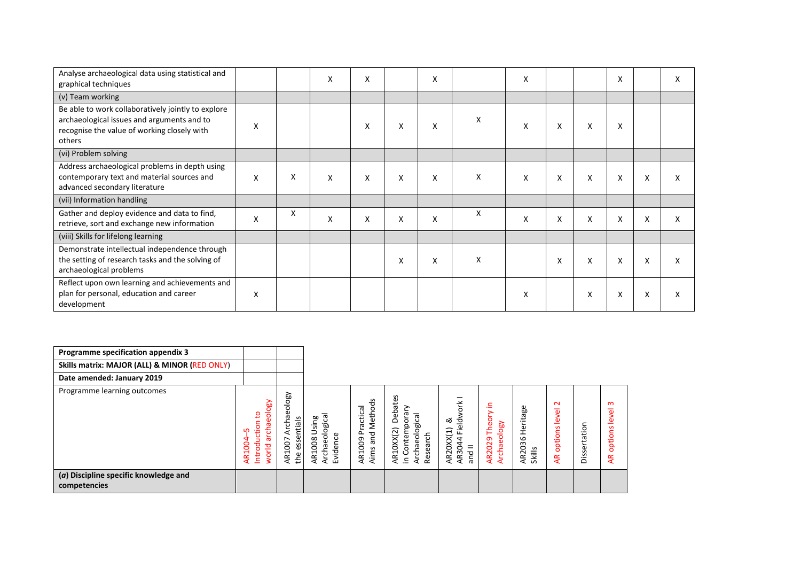| Analyse archaeological data using statistical and<br>graphical techniques                                                                                 |   |   | X | X |   | X |          | X |   |   | X |   | X                         |
|-----------------------------------------------------------------------------------------------------------------------------------------------------------|---|---|---|---|---|---|----------|---|---|---|---|---|---------------------------|
| (v) Team working                                                                                                                                          |   |   |   |   |   |   |          |   |   |   |   |   |                           |
| Be able to work collaboratively jointly to explore<br>archaeological issues and arguments and to<br>recognise the value of working closely with<br>others | X |   |   | X | X | X | X        | X | X | X | X |   |                           |
| (vi) Problem solving                                                                                                                                      |   |   |   |   |   |   |          |   |   |   |   |   |                           |
| Address archaeological problems in depth using<br>contemporary text and material sources and<br>advanced secondary literature                             | X | X | X | X | X | X | X        | X | X | X | X | X |                           |
| (vii) Information handling                                                                                                                                |   |   |   |   |   |   |          |   |   |   |   |   |                           |
| Gather and deploy evidence and data to find,<br>retrieve, sort and exchange new information                                                               | X | X | X | X | X | X | $\times$ | X | X | X | X | X | $\boldsymbol{\mathsf{X}}$ |
| (viii) Skills for lifelong learning                                                                                                                       |   |   |   |   |   |   |          |   |   |   |   |   |                           |
| Demonstrate intellectual independence through<br>the setting of research tasks and the solving of<br>archaeological problems                              |   |   |   |   | X | X | X        |   | X | X | X | X | X                         |
| Reflect upon own learning and achievements and<br>plan for personal, education and career<br>development                                                  | X |   |   |   |   |   |          | x |   | X | Χ | x |                           |

| Programme specification appendix 3                    |                                                                                                               |                                                                |                                                                       |                                                                |                                                                                                  |                                                          |                                                                                        |                                          |                                                         |                         |                                                   |
|-------------------------------------------------------|---------------------------------------------------------------------------------------------------------------|----------------------------------------------------------------|-----------------------------------------------------------------------|----------------------------------------------------------------|--------------------------------------------------------------------------------------------------|----------------------------------------------------------|----------------------------------------------------------------------------------------|------------------------------------------|---------------------------------------------------------|-------------------------|---------------------------------------------------|
| Skills matrix: MAJOR (ALL) & MINOR (RED ONLY)         |                                                                                                               |                                                                |                                                                       |                                                                |                                                                                                  |                                                          |                                                                                        |                                          |                                                         |                         |                                                   |
| Date amended: January 2019                            |                                                                                                               |                                                                |                                                                       |                                                                |                                                                                                  |                                                          |                                                                                        |                                          |                                                         |                         |                                                   |
| Programme learning outcomes                           | eology<br>ೆ<br>tion<br>ᢐ<br><b>LO</b><br>₻<br>ن<br>AR1004<br>᠊ᢆ<br>킁<br>ਠ<br>Intro<br>$\overline{\mathsf{S}}$ | eology<br>rcha<br>n<br>त्त<br>Ë<br>⋖<br>essei<br>AR1007<br>the | ogica<br>sing<br>⊃<br>Φ<br>o<br>Š<br>AR1008<br>Archaeo<br>Φ<br>₫<br>훕 | S<br>Method<br>tical<br>မ္က<br>Δ.<br>ರ<br>ΘÊ<br>AR1009<br>Aims | Debates<br>ъ<br>ᢛ<br>$\circ$<br>⊇.<br>ontemp<br>8g<br>AR10XX(2)<br>Research<br>Archaeol<br>$\Xi$ | ork<br>ळ<br>Field<br>AR20XX(1)<br>AR3044<br>$=$<br>and I | 긒.<br>Archaeology<br>$\mathbf{\omega}$<br>È<br>ത<br>Š<br>$\mathbf{\bar{c}}$<br>خخ<br>✓ | Φ<br>Heritage<br>AR2036<br><b>Skills</b> | $\sim$<br>ω<br>Š<br>-<br>S<br>options<br>$\overline{4}$ | atio<br>sert<br>ی.<br>≏ | ന<br>ω<br>б<br>ptions<br>$\circ$<br>$\frac{R}{4}$ |
| (a) Discipline specific knowledge and<br>competencies |                                                                                                               |                                                                |                                                                       |                                                                |                                                                                                  |                                                          |                                                                                        |                                          |                                                         |                         |                                                   |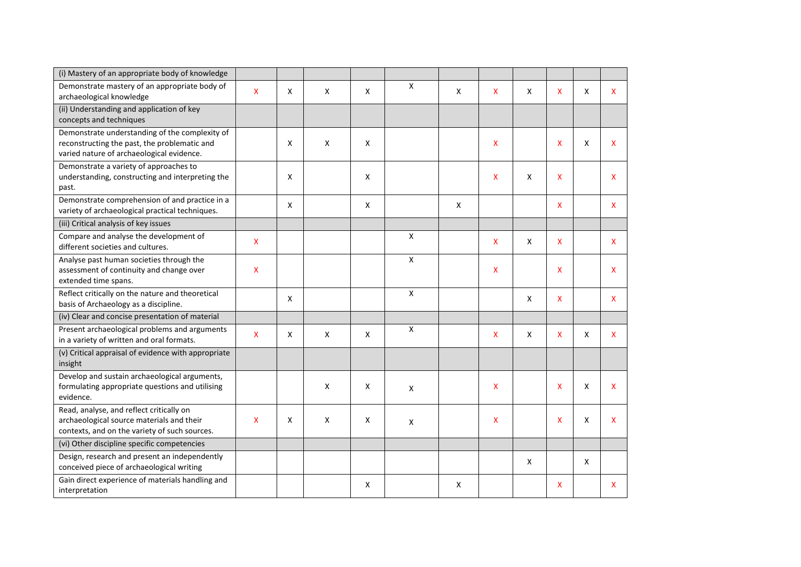| (i) Mastery of an appropriate body of knowledge                                                                                             |              |   |   |                           |   |   |              |   |    |   |    |
|---------------------------------------------------------------------------------------------------------------------------------------------|--------------|---|---|---------------------------|---|---|--------------|---|----|---|----|
| Demonstrate mastery of an appropriate body of<br>archaeological knowledge                                                                   | $\mathsf{x}$ | X | X | X                         | X | X | X            | X | x  | X | x  |
| (ii) Understanding and application of key<br>concepts and techniques                                                                        |              |   |   |                           |   |   |              |   |    |   |    |
| Demonstrate understanding of the complexity of<br>reconstructing the past, the problematic and<br>varied nature of archaeological evidence. |              | X | X | X                         |   |   | X            |   | X  | X | x  |
| Demonstrate a variety of approaches to<br>understanding, constructing and interpreting the<br>past.                                         |              | X |   | $\boldsymbol{\mathsf{X}}$ |   |   | $\mathsf{X}$ | X | X. |   | x  |
| Demonstrate comprehension of and practice in a<br>variety of archaeological practical techniques.                                           |              | X |   | $\boldsymbol{X}$          |   | X |              |   | X. |   | X  |
| (iii) Critical analysis of key issues                                                                                                       |              |   |   |                           |   |   |              |   |    |   |    |
| Compare and analyse the development of<br>different societies and cultures.                                                                 | X            |   |   |                           | X |   | X            | X | X. |   | X. |
| Analyse past human societies through the<br>assessment of continuity and change over<br>extended time spans.                                | X            |   |   |                           | X |   | X            |   | X. |   | x  |
| Reflect critically on the nature and theoretical<br>basis of Archaeology as a discipline.                                                   |              | X |   |                           | X |   |              | X | X. |   | X. |
| (iv) Clear and concise presentation of material                                                                                             |              |   |   |                           |   |   |              |   |    |   |    |
| Present archaeological problems and arguments<br>in a variety of written and oral formats.                                                  | X            | X | X | X                         | X |   | X            | X | x  | X | x  |
| (v) Critical appraisal of evidence with appropriate<br>insight                                                                              |              |   |   |                           |   |   |              |   |    |   |    |
| Develop and sustain archaeological arguments,<br>formulating appropriate questions and utilising<br>evidence.                               |              |   | X | X                         | X |   | X            |   | X. | X | x  |
| Read, analyse, and reflect critically on<br>archaeological source materials and their<br>contexts, and on the variety of such sources.      | X            | X | X | X                         | X |   | $\mathsf{x}$ |   | X. | X | x  |
| (vi) Other discipline specific competencies                                                                                                 |              |   |   |                           |   |   |              |   |    |   |    |
| Design, research and present an independently<br>conceived piece of archaeological writing                                                  |              |   |   |                           |   |   |              | X |    | X |    |
| Gain direct experience of materials handling and<br>interpretation                                                                          |              |   |   | Χ                         |   | X |              |   | x. |   | x  |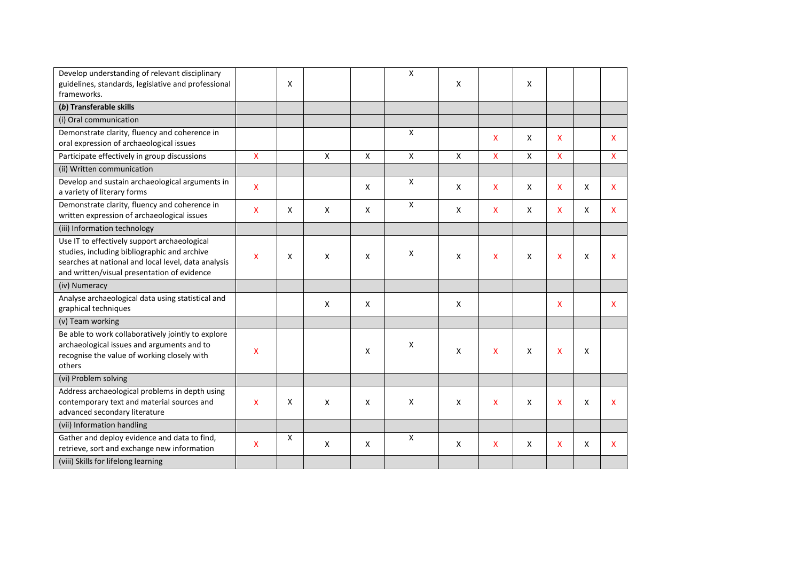| Develop understanding of relevant disciplinary<br>guidelines, standards, legislative and professional<br>frameworks.                                                                               |                           | X |   |   | $\mathsf{x}$              | X            |                           | X |              |   |              |
|----------------------------------------------------------------------------------------------------------------------------------------------------------------------------------------------------|---------------------------|---|---|---|---------------------------|--------------|---------------------------|---|--------------|---|--------------|
| (b) Transferable skills                                                                                                                                                                            |                           |   |   |   |                           |              |                           |   |              |   |              |
| (i) Oral communication                                                                                                                                                                             |                           |   |   |   |                           |              |                           |   |              |   |              |
| Demonstrate clarity, fluency and coherence in<br>oral expression of archaeological issues                                                                                                          |                           |   |   |   | X                         |              | $\mathsf{x}$              | X | <b>X</b>     |   | x            |
| Participate effectively in group discussions                                                                                                                                                       | $\mathsf{x}$              |   | X | X | $\mathsf{X}$              | $\mathsf{X}$ | $\mathsf{X}$              | X | $\mathsf{x}$ |   | $\mathsf{x}$ |
| (ii) Written communication                                                                                                                                                                         |                           |   |   |   |                           |              |                           |   |              |   |              |
| Develop and sustain archaeological arguments in<br>a variety of literary forms                                                                                                                     | $\boldsymbol{\mathsf{x}}$ |   |   | X | X                         | X            | $\mathsf{x}$              | X | X            | X | X            |
| Demonstrate clarity, fluency and coherence in<br>written expression of archaeological issues                                                                                                       | <b>X</b>                  | X | X | X | $\boldsymbol{\mathsf{X}}$ | X            | $\mathsf{x}$              | X | <b>X</b>     | X | X            |
| (iii) Information technology                                                                                                                                                                       |                           |   |   |   |                           |              |                           |   |              |   |              |
| Use IT to effectively support archaeological<br>studies, including bibliographic and archive<br>searches at national and local level, data analysis<br>and written/visual presentation of evidence | X                         | X | X | X | X                         | X            | $\boldsymbol{\mathsf{X}}$ | X | X            | X | x            |
| (iv) Numeracy                                                                                                                                                                                      |                           |   |   |   |                           |              |                           |   |              |   |              |
| Analyse archaeological data using statistical and<br>graphical techniques                                                                                                                          |                           |   | X | X |                           | X            |                           |   | <b>X</b>     |   | <b>X</b>     |
| (v) Team working                                                                                                                                                                                   |                           |   |   |   |                           |              |                           |   |              |   |              |
| Be able to work collaboratively jointly to explore<br>archaeological issues and arguments and to<br>recognise the value of working closely with<br>others                                          | X                         |   |   | X | X                         | X            | $\mathsf{x}$              | X | X            | X |              |
| (vi) Problem solving                                                                                                                                                                               |                           |   |   |   |                           |              |                           |   |              |   |              |
| Address archaeological problems in depth using<br>contemporary text and material sources and<br>advanced secondary literature                                                                      | X                         | x | X | X | X                         | X            | X                         | X | X            | X | x            |
| (vii) Information handling                                                                                                                                                                         |                           |   |   |   |                           |              |                           |   |              |   |              |
| Gather and deploy evidence and data to find,<br>retrieve, sort and exchange new information                                                                                                        | X                         | X | X | X | $\mathsf{X}$              | X            | $\boldsymbol{\mathsf{X}}$ | X | X            | X | X            |
| (viii) Skills for lifelong learning                                                                                                                                                                |                           |   |   |   |                           |              |                           |   |              |   |              |